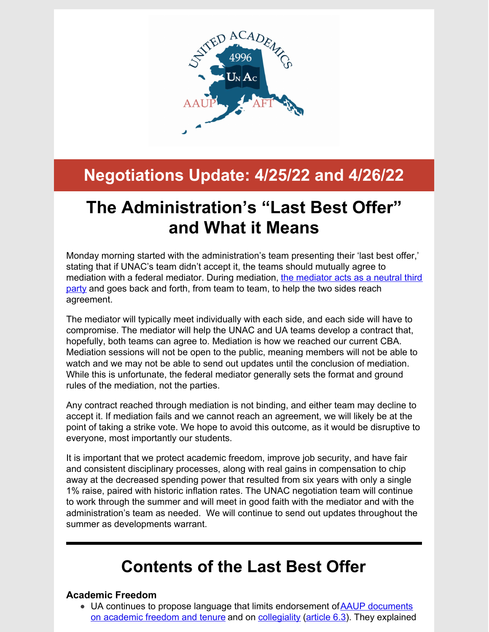

# **Negotiations Update: 4/25/22 and 4/26/22**

# **The Administration's "Last Best Offer" and What it Means**

Monday morning started with the administration's team presenting their 'last best offer,' stating that if UNAC's team didn't accept it, the teams should mutually agree to mediation with a federal mediator. During [mediation,](http://psychology.iresearchnet.com/industrial-organizational-psychology/group-dynamics/negotiation-mediation-and-arbitration/) the mediator acts as a neutral third party and goes back and forth, from team to team, to help the two sides reach agreement.

The mediator will typically meet individually with each side, and each side will have to compromise. The mediator will help the UNAC and UA teams develop a contract that, hopefully, both teams can agree to. Mediation is how we reached our current CBA. Mediation sessions will not be open to the public, meaning members will not be able to watch and we may not be able to send out updates until the conclusion of mediation. While this is unfortunate, the federal mediator generally sets the format and ground rules of the mediation, not the parties.

Any contract reached through mediation is not binding, and either team may decline to accept it. If mediation fails and we cannot reach an agreement, we will likely be at the point of taking a strike vote. We hope to avoid this outcome, as it would be disruptive to everyone, most importantly our students.

It is important that we protect academic freedom, improve job security, and have fair and consistent disciplinary processes, along with real gains in compensation to chip away at the decreased spending power that resulted from six years with only a single 1% raise, paired with historic inflation rates. The UNAC negotiation team will continue to work through the summer and will meet in good faith with the mediator and with the administration's team as needed. We will continue to send out updates throughout the summer as developments warrant.

## **Contents of the Last Best Offer**

#### **Academic Freedom**

UA continues to propose language that limits endorsement ofAAUP documents on [academic](https://www.aaup.org/file/1940 Statement.pdf) freedom and tenure and on [collegiality](https://www.aaup.org/report/collegiality-criterion-faculty-evaluation) [\(article](http://unitedacademics.net/wp-content/uploads/2022/04/UA-Package-10-Articles-6-9-10-11-13-15-16-17-redlined-against-CBA-Best-Final-2022.04.25.pdf) 6.3). They explained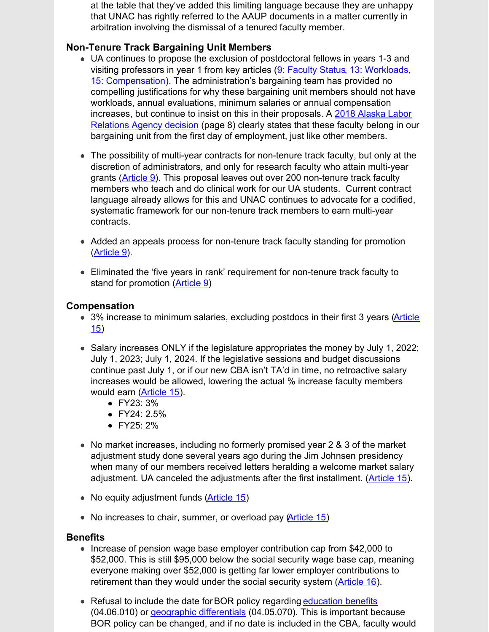at the table that they've added this limiting language because they are unhappy that UNAC has rightly referred to the AAUP documents in a matter currently in arbitration involving the dismissal of a tenured faculty member.

#### **Non-Tenure Track Bargaining Unit Members**

- UA continues to propose the exclusion of postdoctoral fellows in years 1-3 and visiting professors in year 1 from key articles (9: [Faculty](http://unitedacademics.net/wp-content/uploads/2022/04/UA-Package-10-Articles-6-9-10-11-13-15-16-17-redlined-against-CBA-Best-Final-2022.04.25.pdf) Statu[s,](http://unitedacademics.net/wp-content/uploads/2022/04/UA-Package-10-Articles-6-9-10-11-13-15-16-17-redlined-against-CBA-Best-Final-2022.04.25.pdf) 13: [Workloads,](http://unitedacademics.net/wp-content/uploads/2022/04/UA-Package-10-Articles-6-9-10-11-13-15-16-17-redlined-against-CBA-Best-Final-2022.04.25.pdf) 15: [Compensation](http://unitedacademics.net/wp-content/uploads/2022/04/UA-Package-10-Articles-6-9-10-11-13-15-16-17-redlined-against-CBA-Best-Final-2022.04.25.pdf)). The administration's bargaining team has provided no compelling justifications for why these bargaining unit members should not have workloads, annual evaluations, minimum salaries or annual compensation increases, but continue to insist on this in their [proposals.](https://files.constantcontact.com/4d5d67b2801/b7768dbb-c2c5-4cf5-acd2-e29c31e97af2.pdf) A 2018 Alaska Labor Relations Agency decision (page 8) clearly states that these faculty belong in our bargaining unit from the first day of employment, just like other members.
- The possibility of multi-year contracts for non-tenure track faculty, but only at the discretion of administrators, and only for research faculty who attain multi-year grants ([Article](http://unitedacademics.net/wp-content/uploads/2022/04/UA-Package-10-Articles-6-9-10-11-13-15-16-17-redlined-against-CBA-Best-Final-2022.04.25.pdf) 9). This proposal leaves out over 200 non-tenure track faculty members who teach and do clinical work for our UA students. Current contract language already allows for this and UNAC continues to advocate for a codified, systematic framework for our non-tenure track members to earn multi-year contracts.
- Added an appeals process for non-tenure track faculty standing for promotion [\(Article](http://unitedacademics.net/wp-content/uploads/2022/04/UA-Package-10-Articles-6-9-10-11-13-15-16-17-redlined-against-CBA-Best-Final-2022.04.25.pdf) 9).
- Eliminated the 'five years in rank' requirement for non-tenure track faculty to stand for promotion [\(Article](http://unitedacademics.net/wp-content/uploads/2022/04/UA-Package-10-Articles-6-9-10-11-13-15-16-17-redlined-against-CBA-Best-Final-2022.04.25.pdf) 9)

#### **Compensation**

- 3% increase to minimum salaries, [excluding](http://unitedacademics.net/wp-content/uploads/2022/04/UA-Package-10-Articles-6-9-10-11-13-15-16-17-redlined-against-CBA-Best-Final-2022.04.25.pdf) postdocs in their first 3 years (Article 15)
- $\bullet$  Salary increases ONLY if the legislature appropriates the money by July 1, 2022; July 1, 2023; July 1, 2024. If the legislative sessions and budget discussions continue past July 1, or if our new CBA isn't TA'd in time, no retroactive salary increases would be allowed, lowering the actual % increase faculty members would earn ([Article](http://unitedacademics.net/wp-content/uploads/2022/04/UA-Package-10-Articles-6-9-10-11-13-15-16-17-redlined-against-CBA-Best-Final-2022.04.25.pdf) 15).
	- FY23: 3%
	- FY24: 2.5%
	- FY25: 2%
- No market increases, including no formerly promised year 2 & 3 of the market adjustment study done several years ago during the Jim Johnsen presidency when many of our members received letters heralding a welcome market salary adjustment. UA canceled the adjustments after the first installment. [\(Article](http://unitedacademics.net/wp-content/uploads/2022/04/UA-Package-10-Articles-6-9-10-11-13-15-16-17-redlined-against-CBA-Best-Final-2022.04.25.pdf) 15).
- No equity adjustment funds (Article 15)
- No increases to chair, summer, or overload pay (Article 15)

#### **Benefits**

- Increase of pension wage base employer contribution cap from \$42,000 to \$52,000. This is still \$95,000 below the social security wage base cap, meaning everyone making over \$52,000 is getting far lower employer contributions to retirement than they would under the social security system [\(Article](http://unitedacademics.net/wp-content/uploads/2022/04/UA-Package-10-Articles-6-9-10-11-13-15-16-17-redlined-against-CBA-Best-Final-2022.04.25.pdf) 16).
- Refusal to include the date for BOR policy [regarding](https://www.alaska.edu/bor/policy/04.06-Benefits and Leave.pdf) [education](https://www.alaska.edu/bor/policy/04.06-Benefits and Leave.pdf) benefits (04.06.010) or geographic [differentials](https://www.alaska.edu/bor/policy/04.06-Benefits and Leave.pdf) (04.05.070). This is important because BOR policy can be changed, and if no date is included in the CBA, faculty would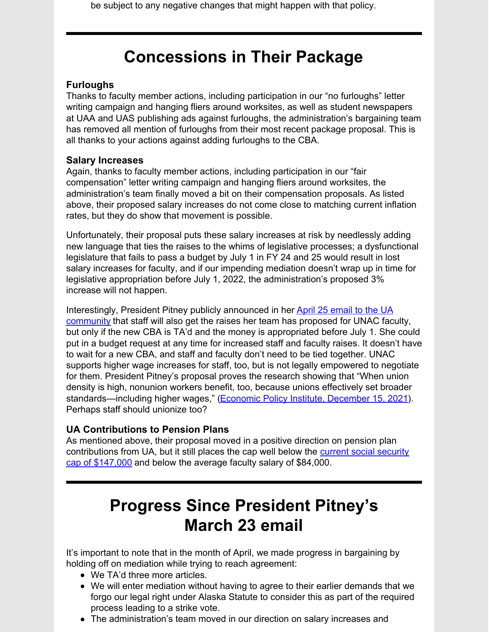be subject to any negative changes that might happen with that policy.

### **Concessions in Their Package**

#### **Furloughs**

Thanks to faculty member actions, including participation in our "no furloughs" letter writing campaign and hanging fliers around worksites, as well as student newspapers at UAA and UAS publishing ads against furloughs, the administration's bargaining team has removed all mention of furloughs from their most recent package proposal. This is all thanks to your actions against adding furloughs to the CBA.

#### **Salary Increases**

Again, thanks to faculty member actions, including participation in our "fair compensation" letter writing campaign and hanging fliers around worksites, the administration's team finally moved a bit on their compensation proposals. As listed above, their proposed salary increases do not come close to matching current inflation rates, but they do show that movement is possible.

Unfortunately, their proposal puts these salary increases at risk by needlessly adding new language that ties the raises to the whims of legislative processes; a dysfunctional legislature that fails to pass a budget by July 1 in FY 24 and 25 would result in lost salary increases for faculty, and if our impending mediation doesn't wrap up in time for legislative appropriation before July 1, 2022, the administration's proposed 3% increase will not happen.

[Interestingly,](https://alaska.edu/pres/communications/4.25.22 Update on UNAC.pdf) President Pitney publicly announced in her April 25 email to the UA community that staff will also get the raises her team has proposed for UNAC faculty, but only if the new CBA is TA'd and the money is appropriated before July 1. She could put in a budget request at any time for increased staff and faculty raises. It doesn't have to wait for a new CBA, and staff and faculty don't need to be tied together. UNAC supports higher wage increases for staff, too, but is not legally empowered to negotiate for them. President Pitney's proposal proves the research showing that "When union density is high, nonunion workers benefit, too, because unions effectively set broader standards—including higher wages," (Economic Policy Institute, [December](https://www.epi.org/publication/unions-and-well-being/) 15, 2021). Perhaps staff should unionize too?

#### **UA Contributions to Pension Plans**

As mentioned above, their proposal moved in a positive direction on pension plan [contributions](https://www.ssa.gov/oact/cola/cbb.html) from UA, but it still places the cap well below the current social security cap of \$147,000 and below the average faculty salary of \$84,000.

## **Progress Since President Pitney's March 23 email**

It's important to note that in the month of April, we made progress in bargaining by holding off on mediation while trying to reach agreement:

- We TA'd three more articles.
- We will enter mediation without having to agree to their earlier demands that we forgo our legal right under Alaska Statute to consider this as part of the required process leading to a strike vote.
- The administration's team moved in our direction on salary increases and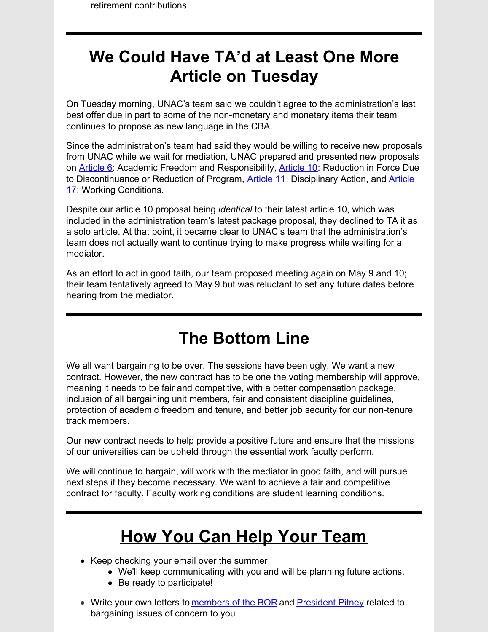### **We Could Have TA'd at Least One More Article on Tuesday**

On Tuesday morning, UNAC's team said we couldn't agree to the administration's last best offer due in part to some of the non-monetary and monetary items their team continues to propose as new language in the CBA.

Since the administration's team had said they would be willing to receive new proposals from UNAC while we wait for mediation, UNAC prepared and presented new proposals on [Article](http://unitedacademics.net/wp-content/uploads/2022/04/Article-6-UNAC-counter-4-26-22.pdf) 6: Academic Freedom and Responsibility, [Article](http://unitedacademics.net/wp-content/uploads/2022/04/Article-10-UNAC-Counter-4-26-22.pdf) 10: Reduction in Force Due to [Discontinuance](http://unitedacademics.net/wp-content/uploads/2022/04/Article-17-UNAC-Counter-4-26-22.pdf) or Reduction of Program, **[Article](http://unitedacademics.net/wp-content/uploads/2022/04/Article-11-UNAC-Counter-4-26-22.pdf) 11:** Disciplinary Action, and **Article** 17: Working Conditions.

Despite our article 10 proposal being *identical* to their latest article 10, which was included in the administration team's latest package proposal, they declined to TA it as a solo article. At that point, it became clear to UNAC's team that the administration's team does not actually want to continue trying to make progress while waiting for a mediator.

As an effort to act in good faith, our team proposed meeting again on May 9 and 10; their team tentatively agreed to May 9 but was reluctant to set any future dates before hearing from the mediator.

### **The Bottom Line**

We all want bargaining to be over. The sessions have been ugly. We want a new contract. However, the new contract has to be one the voting membership will approve, meaning it needs to be fair and competitive, with a better compensation package, inclusion of all bargaining unit members, fair and consistent discipline guidelines, protection of academic freedom and tenure, and better job security for our non-tenure track members.

Our new contract needs to help provide a positive future and ensure that the missions of our universities can be upheld through the essential work faculty perform.

We will continue to bargain, will work with the mediator in good faith, and will pursue next steps if they become necessary. We want to achieve a fair and competitive contract for faculty. Faculty working conditions are student learning conditions.

# **How You Can Help Your Team**

- Keep checking your email over the summer
	- We'll keep communicating with you and will be planning future actions.
	- Be ready to participate!
- Write your own letters to [members](https://www.alaska.edu/bor/members/board-contact-info/index.php) of the BOR and [President](mailto:ua.president@alaska.edu) Pitney related to bargaining issues of concern to you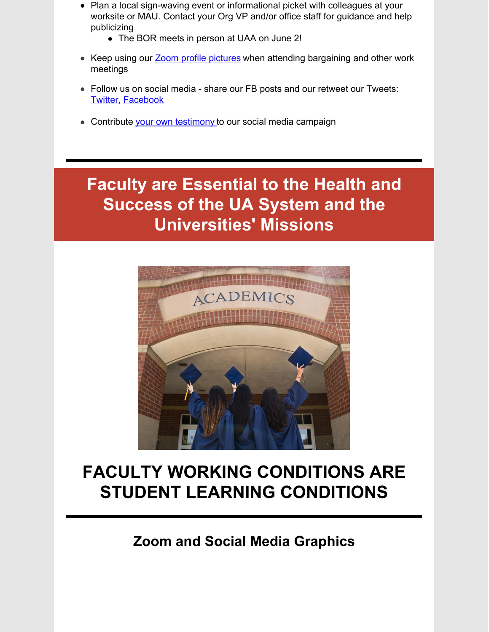- Plan a local sign-waving event or informational picket with colleagues at your worksite or MAU. Contact your Org VP and/or office staff for guidance and help publicizing
	- The BOR meets in person at UAA on June 2!
- Keep using our **Zoom profile [pictures](http://unitedacademics.net/social-media-and-zoom-profile-pictures-and-backgrounds/)** when attending bargaining and other work meetings
- Follow us on social media share our FB posts and our retweet our Tweets: **[Twitter](https://twitter.com/unac4996AK), [Facebook](https://www.facebook.com/profile.php?id=100075903454358)**
- Contribute your own [testimony](https://docs.google.com/forms/d/e/1FAIpQLSfdo6OlCAG4D5HklR9Rq2t0iRCu4xQhSiWyz2orYK7aTgQ6Tw/viewform?usp=sf_link) to our social media campaign

### **Faculty are Essential to the Health and Success of the UA System and the Universities' Missions**



# **FACULTY WORKING CONDITIONS ARE STUDENT LEARNING CONDITIONS**

**Zoom and Social Media Graphics**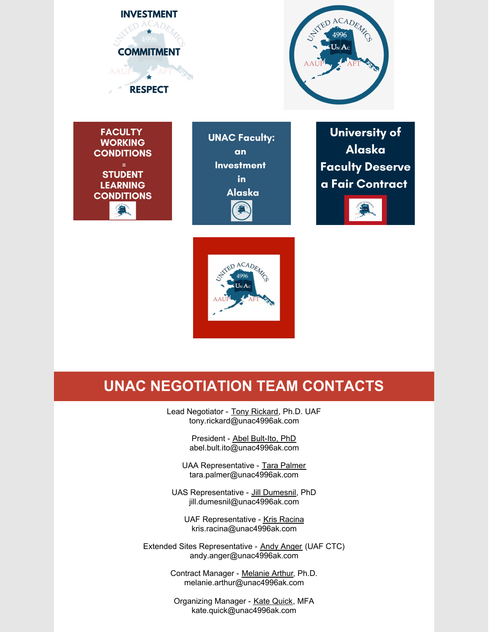

### **UNAC NEGOTIATION TEAM CONTACTS**

Lead Negotiator - Tony Rickard, Ph.D. UAF tony.rickard@unac4996ak.com

> President - Abel Bult-Ito, PhD abel.bult.ito@unac4996ak.com

UAA Representative - Tara [Palmer](mailto:tmsmith@alaska.edu) tara.palmer@unac4996ak.com

UAS Representative - Jill Dumesnil, PhD jill.dumesnil@unac4996ak.com

UAF Representative - Kris Racina kris.racina@unac4996ak.com

Extended Sites Representative - Andy Anger (UAF CTC) andy.anger@unac4996ak.com

> Contract Manager - [Melanie](mailto:melanie.arthur@unac4996ak.com) Arthur, Ph.D. melanie.arthur@unac4996ak.com

Organizing Manager - Kate [Quick,](mailto:kate.quick@unac4996AK.com) MFA kate.quick@unac4996ak.com